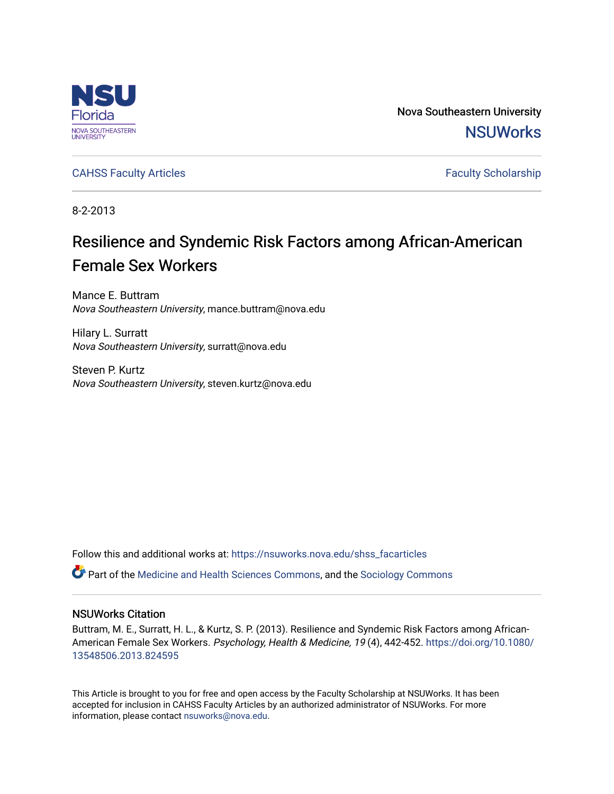

Nova Southeastern University **NSUWorks** 

[CAHSS Faculty Articles](https://nsuworks.nova.edu/shss_facarticles) **Faculty Articles** Faculty Scholarship

8-2-2013

# Resilience and Syndemic Risk Factors among African-American Female Sex Workers

Mance E. Buttram Nova Southeastern University, mance.buttram@nova.edu

Hilary L. Surratt Nova Southeastern University, surratt@nova.edu

Steven P. Kurtz Nova Southeastern University, steven.kurtz@nova.edu

Follow this and additional works at: [https://nsuworks.nova.edu/shss\\_facarticles](https://nsuworks.nova.edu/shss_facarticles?utm_source=nsuworks.nova.edu%2Fshss_facarticles%2F238&utm_medium=PDF&utm_campaign=PDFCoverPages) 

**P** Part of the [Medicine and Health Sciences Commons,](http://network.bepress.com/hgg/discipline/648?utm_source=nsuworks.nova.edu%2Fshss_facarticles%2F238&utm_medium=PDF&utm_campaign=PDFCoverPages) and the Sociology Commons

## NSUWorks Citation

Buttram, M. E., Surratt, H. L., & Kurtz, S. P. (2013). Resilience and Syndemic Risk Factors among African-American Female Sex Workers. Psychology, Health & Medicine, 19 (4), 442-452. [https://doi.org/10.1080/](https://doi.org/10.1080/13548506.2013.824595) [13548506.2013.824595](https://doi.org/10.1080/13548506.2013.824595)

This Article is brought to you for free and open access by the Faculty Scholarship at NSUWorks. It has been accepted for inclusion in CAHSS Faculty Articles by an authorized administrator of NSUWorks. For more information, please contact [nsuworks@nova.edu.](mailto:nsuworks@nova.edu)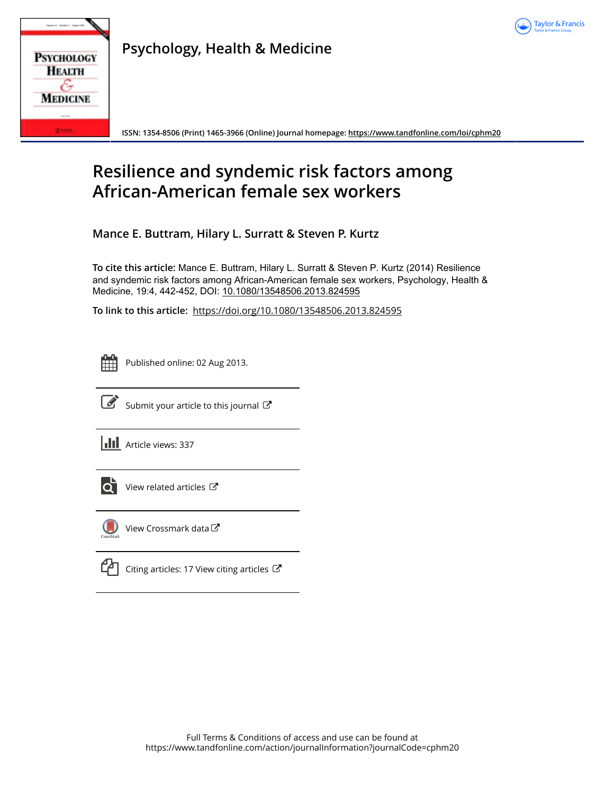



**Psychology, Health & Medicine**

**ISSN: 1354-8506 (Print) 1465-3966 (Online) Journal homepage:<https://www.tandfonline.com/loi/cphm20>**

# **Resilience and syndemic risk factors among African-American female sex workers**

**Mance E. Buttram, Hilary L. Surratt & Steven P. Kurtz**

**To cite this article:** Mance E. Buttram, Hilary L. Surratt & Steven P. Kurtz (2014) Resilience and syndemic risk factors among African-American female sex workers, Psychology, Health & Medicine, 19:4, 442-452, DOI: [10.1080/13548506.2013.824595](https://www.tandfonline.com/action/showCitFormats?doi=10.1080/13548506.2013.824595)

**To link to this article:** <https://doi.org/10.1080/13548506.2013.824595>



Published online: 02 Aug 2013.



 $\overrightarrow{S}$  [Submit your article to this journal](https://www.tandfonline.com/action/authorSubmission?journalCode=cphm20&show=instructions)  $\overrightarrow{S}$ 

**III** Article views: 337



[View related articles](https://www.tandfonline.com/doi/mlt/10.1080/13548506.2013.824595)  $\mathbb{Z}$ 



[View Crossmark data](http://crossmark.crossref.org/dialog/?doi=10.1080/13548506.2013.824595&domain=pdf&date_stamp=2013-08-02)

[Citing articles: 17 View citing articles](https://www.tandfonline.com/doi/citedby/10.1080/13548506.2013.824595#tabModule)  $\mathbb{Z}$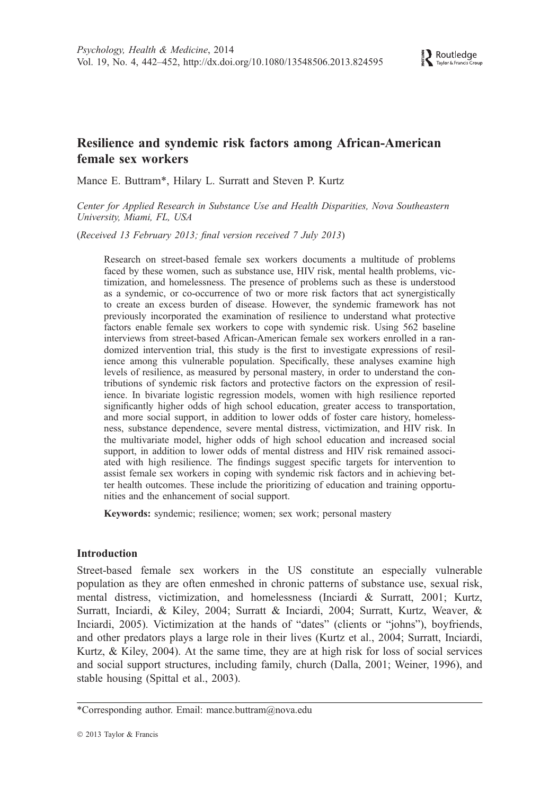## Resilience and syndemic risk factors among African-American female sex workers

Mance E. Buttram\*, Hilary L. Surratt and Steven P. Kurtz

Center for Applied Research in Substance Use and Health Disparities, Nova Southeastern University, Miami, FL, USA

(Received 13 February 2013; final version received 7 July 2013)

Research on street-based female sex workers documents a multitude of problems faced by these women, such as substance use, HIV risk, mental health problems, victimization, and homelessness. The presence of problems such as these is understood as a syndemic, or co-occurrence of two or more risk factors that act synergistically to create an excess burden of disease. However, the syndemic framework has not previously incorporated the examination of resilience to understand what protective factors enable female sex workers to cope with syndemic risk. Using 562 baseline interviews from street-based African-American female sex workers enrolled in a randomized intervention trial, this study is the first to investigate expressions of resilience among this vulnerable population. Specifically, these analyses examine high levels of resilience, as measured by personal mastery, in order to understand the contributions of syndemic risk factors and protective factors on the expression of resilience. In bivariate logistic regression models, women with high resilience reported significantly higher odds of high school education, greater access to transportation, and more social support, in addition to lower odds of foster care history, homelessness, substance dependence, severe mental distress, victimization, and HIV risk. In the multivariate model, higher odds of high school education and increased social support, in addition to lower odds of mental distress and HIV risk remained associated with high resilience. The findings suggest specific targets for intervention to assist female sex workers in coping with syndemic risk factors and in achieving better health outcomes. These include the prioritizing of education and training opportunities and the enhancement of social support.

Keywords: syndemic; resilience; women; sex work; personal mastery

#### Introduction

Street-based female sex workers in the US constitute an especially vulnerable population as they are often enmeshed in chronic patterns of substance use, sexual risk, mental distress, victimization, and homelessness (Inciardi & Surratt, 2001; Kurtz, Surratt, Inciardi, & Kiley, 2004; Surratt & Inciardi, 2004; Surratt, Kurtz, Weaver, & Inciardi, 2005). Victimization at the hands of "dates" (clients or "johns"), boyfriends, and other predators plays a large role in their lives (Kurtz et al., 2004; Surratt, Inciardi, Kurtz, & Kiley, 2004). At the same time, they are at high risk for loss of social services and social support structures, including family, church (Dalla, 2001; Weiner, 1996), and stable housing (Spittal et al., 2003).

<sup>\*</sup>Corresponding author. Email: mance.buttram@nova.edu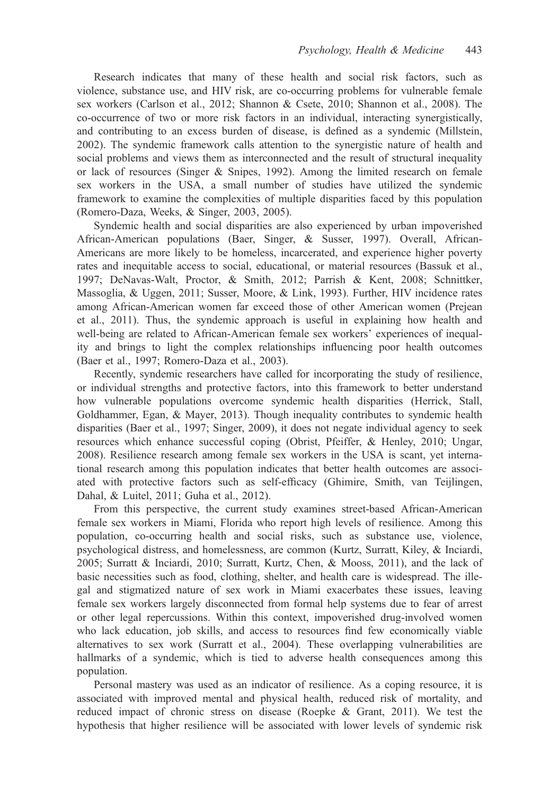Research indicates that many of these health and social risk factors, such as violence, substance use, and HIV risk, are co-occurring problems for vulnerable female sex workers (Carlson et al., 2012; Shannon & Csete, 2010; Shannon et al., 2008). The co-occurrence of two or more risk factors in an individual, interacting synergistically, and contributing to an excess burden of disease, is defined as a syndemic (Millstein, 2002). The syndemic framework calls attention to the synergistic nature of health and social problems and views them as interconnected and the result of structural inequality or lack of resources (Singer  $\&$  Snipes, 1992). Among the limited research on female sex workers in the USA, a small number of studies have utilized the syndemic framework to examine the complexities of multiple disparities faced by this population (Romero-Daza, Weeks, & Singer, 2003, 2005).

Syndemic health and social disparities are also experienced by urban impoverished African-American populations (Baer, Singer, & Susser, 1997). Overall, African-Americans are more likely to be homeless, incarcerated, and experience higher poverty rates and inequitable access to social, educational, or material resources (Bassuk et al., 1997; DeNavas-Walt, Proctor, & Smith, 2012; Parrish & Kent, 2008; Schnittker, Massoglia, & Uggen, 2011; Susser, Moore, & Link, 1993). Further, HIV incidence rates among African-American women far exceed those of other American women (Prejean et al., 2011). Thus, the syndemic approach is useful in explaining how health and well-being are related to African-American female sex workers' experiences of inequality and brings to light the complex relationships influencing poor health outcomes (Baer et al., 1997; Romero-Daza et al., 2003).

Recently, syndemic researchers have called for incorporating the study of resilience, or individual strengths and protective factors, into this framework to better understand how vulnerable populations overcome syndemic health disparities (Herrick, Stall, Goldhammer, Egan, & Mayer, 2013). Though inequality contributes to syndemic health disparities (Baer et al., 1997; Singer, 2009), it does not negate individual agency to seek resources which enhance successful coping (Obrist, Pfeiffer, & Henley, 2010; Ungar, 2008). Resilience research among female sex workers in the USA is scant, yet international research among this population indicates that better health outcomes are associated with protective factors such as self-efficacy (Ghimire, Smith, van Teijlingen, Dahal, & Luitel, 2011; Guha et al., 2012).

From this perspective, the current study examines street-based African-American female sex workers in Miami, Florida who report high levels of resilience. Among this population, co-occurring health and social risks, such as substance use, violence, psychological distress, and homelessness, are common (Kurtz, Surratt, Kiley, & Inciardi, 2005; Surratt & Inciardi, 2010; Surratt, Kurtz, Chen, & Mooss, 2011), and the lack of basic necessities such as food, clothing, shelter, and health care is widespread. The illegal and stigmatized nature of sex work in Miami exacerbates these issues, leaving female sex workers largely disconnected from formal help systems due to fear of arrest or other legal repercussions. Within this context, impoverished drug-involved women who lack education, job skills, and access to resources find few economically viable alternatives to sex work (Surratt et al., 2004). These overlapping vulnerabilities are hallmarks of a syndemic, which is tied to adverse health consequences among this population.

Personal mastery was used as an indicator of resilience. As a coping resource, it is associated with improved mental and physical health, reduced risk of mortality, and reduced impact of chronic stress on disease (Roepke & Grant, 2011). We test the hypothesis that higher resilience will be associated with lower levels of syndemic risk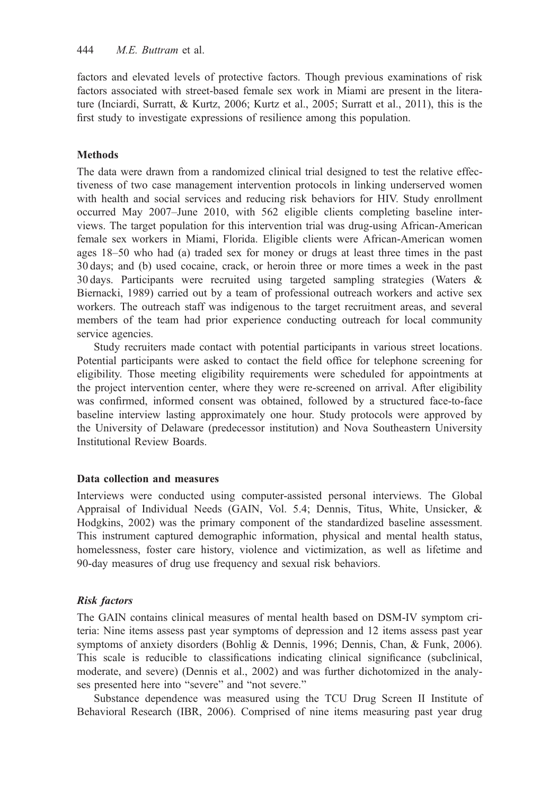factors and elevated levels of protective factors. Though previous examinations of risk factors associated with street-based female sex work in Miami are present in the literature (Inciardi, Surratt, & Kurtz, 2006; Kurtz et al., 2005; Surratt et al., 2011), this is the first study to investigate expressions of resilience among this population.

## **Methods**

The data were drawn from a randomized clinical trial designed to test the relative effectiveness of two case management intervention protocols in linking underserved women with health and social services and reducing risk behaviors for HIV. Study enrollment occurred May 2007–June 2010, with 562 eligible clients completing baseline interviews. The target population for this intervention trial was drug-using African-American female sex workers in Miami, Florida. Eligible clients were African-American women ages 18–50 who had (a) traded sex for money or drugs at least three times in the past 30 days; and (b) used cocaine, crack, or heroin three or more times a week in the past 30 days. Participants were recruited using targeted sampling strategies (Waters & Biernacki, 1989) carried out by a team of professional outreach workers and active sex workers. The outreach staff was indigenous to the target recruitment areas, and several members of the team had prior experience conducting outreach for local community service agencies.

Study recruiters made contact with potential participants in various street locations. Potential participants were asked to contact the field office for telephone screening for eligibility. Those meeting eligibility requirements were scheduled for appointments at the project intervention center, where they were re-screened on arrival. After eligibility was confirmed, informed consent was obtained, followed by a structured face-to-face baseline interview lasting approximately one hour. Study protocols were approved by the University of Delaware (predecessor institution) and Nova Southeastern University Institutional Review Boards.

### Data collection and measures

Interviews were conducted using computer-assisted personal interviews. The Global Appraisal of Individual Needs (GAIN, Vol. 5.4; Dennis, Titus, White, Unsicker, & Hodgkins, 2002) was the primary component of the standardized baseline assessment. This instrument captured demographic information, physical and mental health status, homelessness, foster care history, violence and victimization, as well as lifetime and 90-day measures of drug use frequency and sexual risk behaviors.

## Risk factors

The GAIN contains clinical measures of mental health based on DSM-IV symptom criteria: Nine items assess past year symptoms of depression and 12 items assess past year symptoms of anxiety disorders (Bohlig & Dennis, 1996; Dennis, Chan, & Funk, 2006). This scale is reducible to classifications indicating clinical significance (subclinical, moderate, and severe) (Dennis et al., 2002) and was further dichotomized in the analyses presented here into "severe" and "not severe."

Substance dependence was measured using the TCU Drug Screen II Institute of Behavioral Research (IBR, 2006). Comprised of nine items measuring past year drug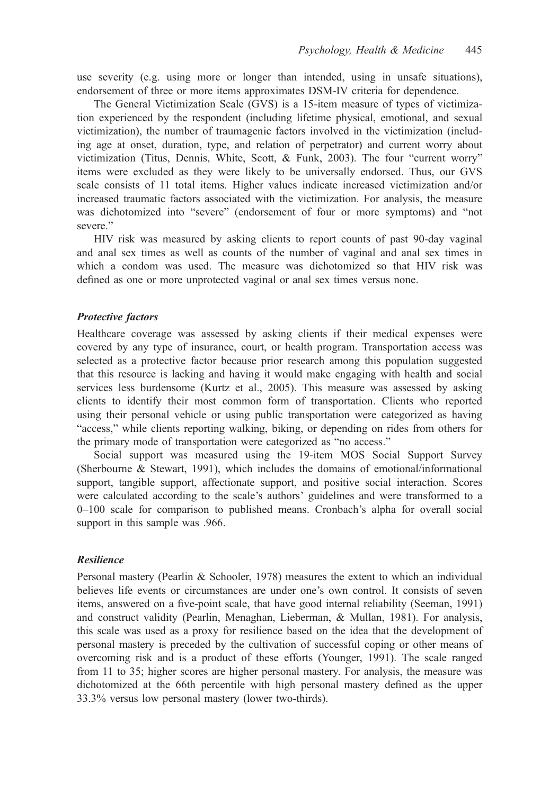use severity (e.g. using more or longer than intended, using in unsafe situations), endorsement of three or more items approximates DSM-IV criteria for dependence.

The General Victimization Scale (GVS) is a 15-item measure of types of victimization experienced by the respondent (including lifetime physical, emotional, and sexual victimization), the number of traumagenic factors involved in the victimization (including age at onset, duration, type, and relation of perpetrator) and current worry about victimization (Titus, Dennis, White, Scott, & Funk, 2003). The four "current worry" items were excluded as they were likely to be universally endorsed. Thus, our GVS scale consists of 11 total items. Higher values indicate increased victimization and/or increased traumatic factors associated with the victimization. For analysis, the measure was dichotomized into "severe" (endorsement of four or more symptoms) and "not severe."

HIV risk was measured by asking clients to report counts of past 90-day vaginal and anal sex times as well as counts of the number of vaginal and anal sex times in which a condom was used. The measure was dichotomized so that HIV risk was defined as one or more unprotected vaginal or anal sex times versus none.

#### Protective factors

Healthcare coverage was assessed by asking clients if their medical expenses were covered by any type of insurance, court, or health program. Transportation access was selected as a protective factor because prior research among this population suggested that this resource is lacking and having it would make engaging with health and social services less burdensome (Kurtz et al., 2005). This measure was assessed by asking clients to identify their most common form of transportation. Clients who reported using their personal vehicle or using public transportation were categorized as having "access," while clients reporting walking, biking, or depending on rides from others for the primary mode of transportation were categorized as "no access."

Social support was measured using the 19-item MOS Social Support Survey (Sherbourne & Stewart, 1991), which includes the domains of emotional/informational support, tangible support, affectionate support, and positive social interaction. Scores were calculated according to the scale's authors' guidelines and were transformed to a 0–100 scale for comparison to published means. Cronbach's alpha for overall social support in this sample was .966.

#### Resilience

Personal mastery (Pearlin & Schooler, 1978) measures the extent to which an individual believes life events or circumstances are under one's own control. It consists of seven items, answered on a five-point scale, that have good internal reliability (Seeman, 1991) and construct validity (Pearlin, Menaghan, Lieberman, & Mullan, 1981). For analysis, this scale was used as a proxy for resilience based on the idea that the development of personal mastery is preceded by the cultivation of successful coping or other means of overcoming risk and is a product of these efforts (Younger, 1991). The scale ranged from 11 to 35; higher scores are higher personal mastery. For analysis, the measure was dichotomized at the 66th percentile with high personal mastery defined as the upper 33.3% versus low personal mastery (lower two-thirds).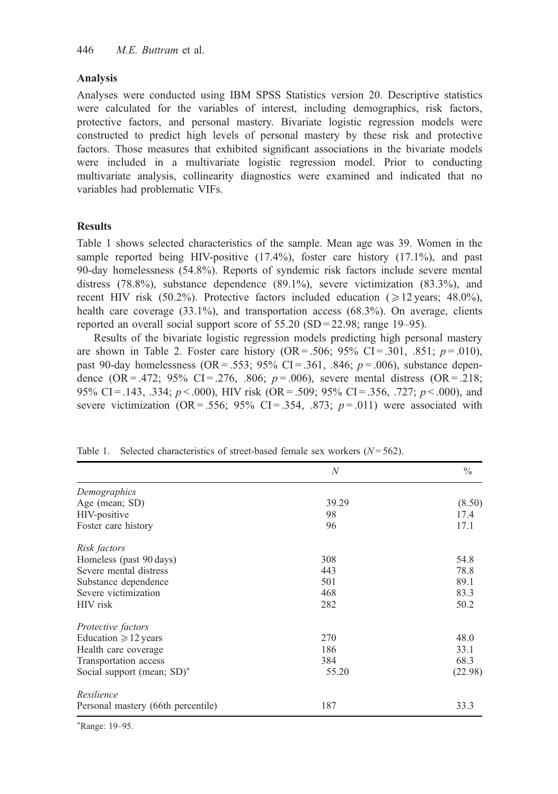### Analysis

Analyses were conducted using IBM SPSS Statistics version 20. Descriptive statistics were calculated for the variables of interest, including demographics, risk factors, protective factors, and personal mastery. Bivariate logistic regression models were constructed to predict high levels of personal mastery by these risk and protective factors. Those measures that exhibited significant associations in the bivariate models were included in a multivariate logistic regression model. Prior to conducting multivariate analysis, collinearity diagnostics were examined and indicated that no variables had problematic VIFs.

## Results

Table 1 shows selected characteristics of the sample. Mean age was 39. Women in the sample reported being HIV-positive (17.4%), foster care history (17.1%), and past 90-day homelessness (54.8%). Reports of syndemic risk factors include severe mental distress (78.8%), substance dependence (89.1%), severe victimization (83.3%), and recent HIV risk (50.2%). Protective factors included education ( $\geq 12$  years; 48.0%), health care coverage (33.1%), and transportation access (68.3%). On average, clients reported an overall social support score of  $55.20$  (SD = 22.98; range 19–95).

Results of the bivariate logistic regression models predicting high personal mastery are shown in Table 2. Foster care history  $(OR = .506; 95\% CI = .301, .851; p = .010)$ , past 90-day homelessness (OR = .553; 95% CI = .361, .846;  $p = .006$ ), substance dependence  $(OR = .472; 95\% \text{ CI} = .276, .806; p = .006)$ , severe mental distress  $(OR = .218;$ 95% CI = .143, .334;  $p < .000$ ), HIV risk (OR = .509; 95% CI = .356, .727;  $p < .000$ ), and severe victimization (OR = .556;  $95\%$  CI = .354, .873;  $p = .011$ ) were associated with

|                                    | $\boldsymbol{N}$ | $\frac{0}{0}$ |
|------------------------------------|------------------|---------------|
| Demographics                       |                  |               |
| Age (mean; SD)                     | 39.29            | (8.50)        |
| HIV-positive                       | 98               | 17.4          |
| Foster care history                | 96               | 17.1          |
| Risk factors                       |                  |               |
| Homeless (past 90 days)            | 308              | 54.8          |
| Severe mental distress             | 443              | 78.8          |
| Substance dependence               | 501              | 89.1          |
| Severe victimization               | 468              | 83.3          |
| HIV risk                           | 282              | 50.2          |
| Protective factors                 |                  |               |
| Education $\geq 12$ years          | 270              | 48.0          |
| Health care coverage               | 186              | 33.1          |
| Transportation access              | 384              | 68.3          |
| Social support (mean; SD)*         | 55.20            | (22.98)       |
| Resilience                         |                  |               |
| Personal mastery (66th percentile) | 187              | 33.3          |

Table 1. Selected characteristics of street-based female sex workers  $(N=562)$ .

⁄ Range: 19–95.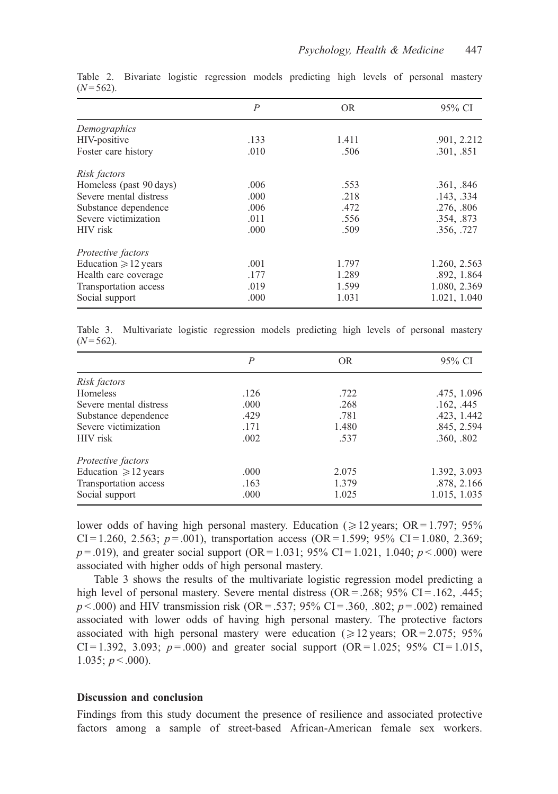|                           | $\overline{P}$ | <b>OR</b> | 95% CI       |
|---------------------------|----------------|-----------|--------------|
| Demographics              |                |           |              |
| HIV-positive              | .133           | 1.411     | .901, 2.212  |
| Foster care history       | .010           | .506      | .301, .851   |
| Risk factors              |                |           |              |
| Homeless (past 90 days)   | .006           | .553      | .361, .846   |
| Severe mental distress    | .000           | .218      | .143, .334   |
| Substance dependence      | .006           | .472      | .276, .806   |
| Severe victimization      | .011           | .556      | .354, .873   |
| HIV risk                  | .000           | .509      | .356, .727   |
| Protective factors        |                |           |              |
| Education $\geq 12$ years | .001           | 1.797     | 1.260, 2.563 |
| Health care coverage      | .177           | 1.289     | .892, 1.864  |
| Transportation access     | .019           | 1.599     | 1.080, 2.369 |
| Social support            | .000           | 1.031     | 1.021, 1.040 |

Table 2. Bivariate logistic regression models predicting high levels of personal mastery  $(N = 562)$ .

Table 3. Multivariate logistic regression models predicting high levels of personal mastery  $(N = 562)$ .

|                           | P    | OR.   | 95% CI       |
|---------------------------|------|-------|--------------|
| Risk factors              |      |       |              |
| <b>Homeless</b>           | .126 | .722  | .475, 1.096  |
| Severe mental distress    | .000 | .268  | .162, .445   |
| Substance dependence      | .429 | .781  | .423, 1.442  |
| Severe victimization      | .171 | 1.480 | .845, 2.594  |
| HIV risk                  | .002 | .537  | .360, .802   |
| <i>Protective factors</i> |      |       |              |
| Education $\geq 12$ years | .000 | 2.075 | 1.392, 3.093 |
| Transportation access     | .163 | 1.379 | .878, 2.166  |
| Social support            | .000 | 1.025 | 1.015, 1.035 |

lower odds of having high personal mastery. Education ( $\geq 12$  years; OR = 1.797; 95% CI = 1.260, 2.563;  $p = .001$ ), transportation access (OR = 1.599; 95% CI = 1.080, 2.369;  $p = .019$ , and greater social support (OR = 1.031; 95% CI = 1.021, 1.040;  $p < .000$ ) were associated with higher odds of high personal mastery.

Table 3 shows the results of the multivariate logistic regression model predicting a high level of personal mastery. Severe mental distress ( $OR = .268$ ;  $95\%$  CI = .162, .445;  $p < .000$ ) and HIV transmission risk (OR = .537; 95% CI = .360, .802;  $p = .002$ ) remained associated with lower odds of having high personal mastery. The protective factors associated with high personal mastery were education ( $\geq 12$  years; OR = 2.075; 95%  $CI = 1.392$ , 3.093;  $p = .000$ ) and greater social support (OR = 1.025; 95% CI = 1.015, 1.035;  $p < .000$ ).

#### Discussion and conclusion

Findings from this study document the presence of resilience and associated protective factors among a sample of street-based African-American female sex workers.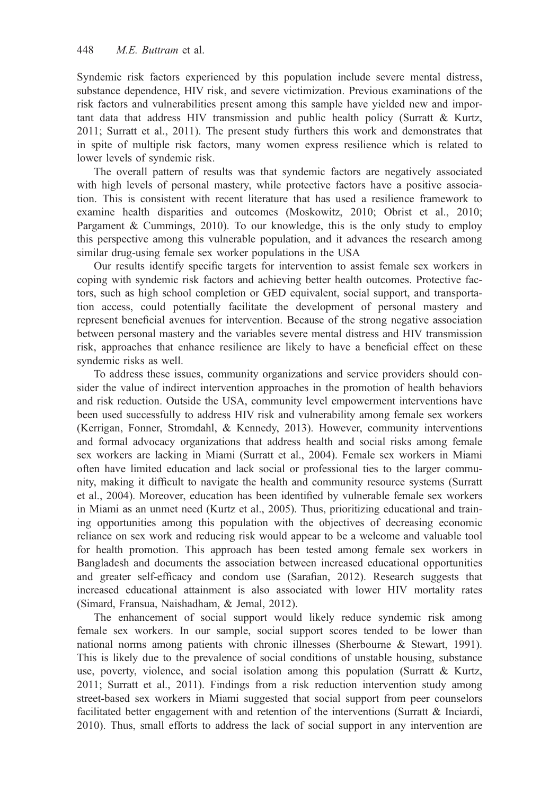Syndemic risk factors experienced by this population include severe mental distress, substance dependence, HIV risk, and severe victimization. Previous examinations of the risk factors and vulnerabilities present among this sample have yielded new and important data that address HIV transmission and public health policy (Surratt & Kurtz, 2011; Surratt et al., 2011). The present study furthers this work and demonstrates that in spite of multiple risk factors, many women express resilience which is related to lower levels of syndemic risk.

The overall pattern of results was that syndemic factors are negatively associated with high levels of personal mastery, while protective factors have a positive association. This is consistent with recent literature that has used a resilience framework to examine health disparities and outcomes (Moskowitz, 2010; Obrist et al., 2010; Pargament & Cummings, 2010). To our knowledge, this is the only study to employ this perspective among this vulnerable population, and it advances the research among similar drug-using female sex worker populations in the USA

Our results identify specific targets for intervention to assist female sex workers in coping with syndemic risk factors and achieving better health outcomes. Protective factors, such as high school completion or GED equivalent, social support, and transportation access, could potentially facilitate the development of personal mastery and represent beneficial avenues for intervention. Because of the strong negative association between personal mastery and the variables severe mental distress and HIV transmission risk, approaches that enhance resilience are likely to have a beneficial effect on these syndemic risks as well.

To address these issues, community organizations and service providers should consider the value of indirect intervention approaches in the promotion of health behaviors and risk reduction. Outside the USA, community level empowerment interventions have been used successfully to address HIV risk and vulnerability among female sex workers (Kerrigan, Fonner, Stromdahl, & Kennedy, 2013). However, community interventions and formal advocacy organizations that address health and social risks among female sex workers are lacking in Miami (Surratt et al., 2004). Female sex workers in Miami often have limited education and lack social or professional ties to the larger community, making it difficult to navigate the health and community resource systems (Surratt et al., 2004). Moreover, education has been identified by vulnerable female sex workers in Miami as an unmet need (Kurtz et al., 2005). Thus, prioritizing educational and training opportunities among this population with the objectives of decreasing economic reliance on sex work and reducing risk would appear to be a welcome and valuable tool for health promotion. This approach has been tested among female sex workers in Bangladesh and documents the association between increased educational opportunities and greater self-efficacy and condom use (Sarafian, 2012). Research suggests that increased educational attainment is also associated with lower HIV mortality rates (Simard, Fransua, Naishadham, & Jemal, 2012).

The enhancement of social support would likely reduce syndemic risk among female sex workers. In our sample, social support scores tended to be lower than national norms among patients with chronic illnesses (Sherbourne & Stewart, 1991). This is likely due to the prevalence of social conditions of unstable housing, substance use, poverty, violence, and social isolation among this population (Surratt & Kurtz, 2011; Surratt et al., 2011). Findings from a risk reduction intervention study among street-based sex workers in Miami suggested that social support from peer counselors facilitated better engagement with and retention of the interventions (Surratt & Inciardi, 2010). Thus, small efforts to address the lack of social support in any intervention are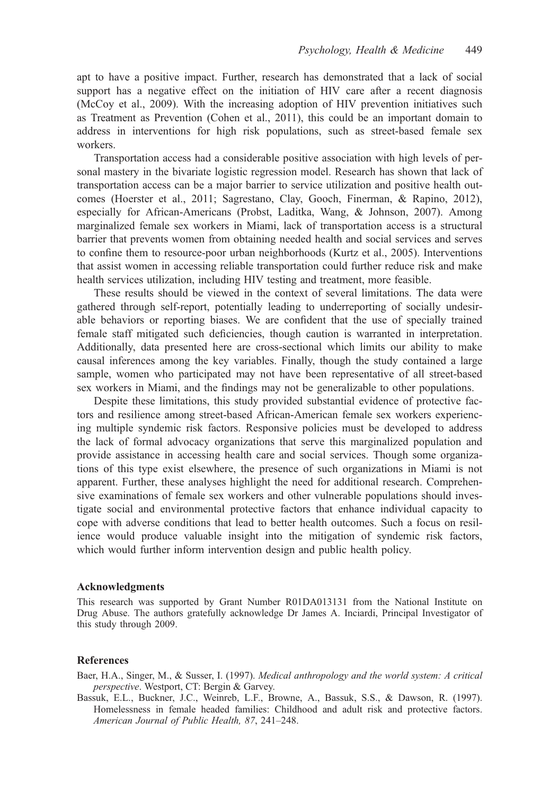apt to have a positive impact. Further, research has demonstrated that a lack of social support has a negative effect on the initiation of HIV care after a recent diagnosis (McCoy et al., 2009). With the increasing adoption of HIV prevention initiatives such as Treatment as Prevention (Cohen et al., 2011), this could be an important domain to address in interventions for high risk populations, such as street-based female sex workers.

Transportation access had a considerable positive association with high levels of personal mastery in the bivariate logistic regression model. Research has shown that lack of transportation access can be a major barrier to service utilization and positive health outcomes (Hoerster et al., 2011; Sagrestano, Clay, Gooch, Finerman, & Rapino, 2012), especially for African-Americans (Probst, Laditka, Wang, & Johnson, 2007). Among marginalized female sex workers in Miami, lack of transportation access is a structural barrier that prevents women from obtaining needed health and social services and serves to confine them to resource-poor urban neighborhoods (Kurtz et al., 2005). Interventions that assist women in accessing reliable transportation could further reduce risk and make health services utilization, including HIV testing and treatment, more feasible.

These results should be viewed in the context of several limitations. The data were gathered through self-report, potentially leading to underreporting of socially undesirable behaviors or reporting biases. We are confident that the use of specially trained female staff mitigated such deficiencies, though caution is warranted in interpretation. Additionally, data presented here are cross-sectional which limits our ability to make causal inferences among the key variables. Finally, though the study contained a large sample, women who participated may not have been representative of all street-based sex workers in Miami, and the findings may not be generalizable to other populations.

Despite these limitations, this study provided substantial evidence of protective factors and resilience among street-based African-American female sex workers experiencing multiple syndemic risk factors. Responsive policies must be developed to address the lack of formal advocacy organizations that serve this marginalized population and provide assistance in accessing health care and social services. Though some organizations of this type exist elsewhere, the presence of such organizations in Miami is not apparent. Further, these analyses highlight the need for additional research. Comprehensive examinations of female sex workers and other vulnerable populations should investigate social and environmental protective factors that enhance individual capacity to cope with adverse conditions that lead to better health outcomes. Such a focus on resilience would produce valuable insight into the mitigation of syndemic risk factors, which would further inform intervention design and public health policy.

#### Acknowledgments

This research was supported by Grant Number R01DA013131 from the National Institute on Drug Abuse. The authors gratefully acknowledge Dr James A. Inciardi, Principal Investigator of this study through 2009.

#### References

Baer, H.A., Singer, M., & Susser, I. (1997). Medical anthropology and the world system: A critical perspective. Westport, CT: Bergin & Garvey.

Bassuk, E.L., Buckner, J.C., Weinreb, L.F., Browne, A., Bassuk, S.S., & Dawson, R. (1997). Homelessness in female headed families: Childhood and adult risk and protective factors. American Journal of Public Health, 87, 241–248.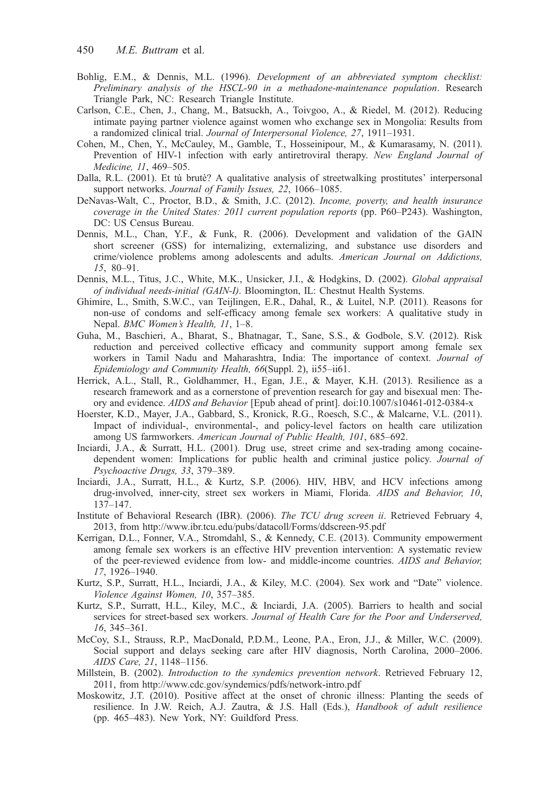- Bohlig, E.M., & Dennis, M.L. (1996). Development of an abbreviated symptom checklist: Preliminary analysis of the HSCL-90 in a methadone-maintenance population. Research Triangle Park, NC: Research Triangle Institute.
- Carlson, C.E., Chen, J., Chang, M., Batsuckh, A., Toivgoo, A., & Riedel, M. (2012). Reducing intimate paying partner violence against women who exchange sex in Mongolia: Results from a randomized clinical trial. Journal of Interpersonal Violence, 27, 1911–1931.
- Cohen, M., Chen, Y., McCauley, M., Gamble, T., Hosseinipour, M., & Kumarasamy, N. (2011). Prevention of HIV-1 infection with early antiretroviral therapy. New England Journal of Medicine, 11, 469–505.
- Dalla, R.L. (2001). Et tú brutè? A qualitative analysis of streetwalking prostitutes' interpersonal support networks. Journal of Family Issues, 22, 1066-1085.
- DeNavas-Walt, C., Proctor, B.D., & Smith, J.C. (2012). Income, poverty, and health insurance coverage in the United States: 2011 current population reports (pp. P60–P243). Washington, DC: US Census Bureau.
- Dennis, M.L., Chan, Y.F., & Funk, R. (2006). Development and validation of the GAIN short screener (GSS) for internalizing, externalizing, and substance use disorders and crime/violence problems among adolescents and adults. American Journal on Addictions, 15, 80–91.
- Dennis, M.L., Titus, J.C., White, M.K., Unsicker, J.I., & Hodgkins, D. (2002). Global appraisal of individual needs-initial (GAIN-I). Bloomington, IL: Chestnut Health Systems.
- Ghimire, L., Smith, S.W.C., van Teijlingen, E.R., Dahal, R., & Luitel, N.P. (2011). Reasons for non-use of condoms and self-efficacy among female sex workers: A qualitative study in Nepal. BMC Women's Health, 11, 1–8.
- Guha, M., Baschieri, A., Bharat, S., Bhatnagar, T., Sane, S.S., & Godbole, S.V. (2012). Risk reduction and perceived collective efficacy and community support among female sex workers in Tamil Nadu and Maharashtra, India: The importance of context. Journal of Epidemiology and Community Health, 66(Suppl. 2), ii55–ii61.
- Herrick, A.L., Stall, R., Goldhammer, H., Egan, J.E., & Mayer, K.H. (2013). Resilience as a research framework and as a cornerstone of prevention research for gay and bisexual men: Theory and evidence. AIDS and Behavior [Epub ahead of print]. doi:10.1007/s10461-012-0384-x
- Hoerster, K.D., Mayer, J.A., Gabbard, S., Kronick, R.G., Roesch, S.C., & Malcarne, V.L. (2011). Impact of individual-, environmental-, and policy-level factors on health care utilization among US farmworkers. American Journal of Public Health, 101, 685–692.
- Inciardi, J.A., & Surratt, H.L. (2001). Drug use, street crime and sex-trading among cocainedependent women: Implications for public health and criminal justice policy. Journal of Psychoactive Drugs, 33, 379–389.
- Inciardi, J.A., Surratt, H.L., & Kurtz, S.P. (2006). HIV, HBV, and HCV infections among drug-involved, inner-city, street sex workers in Miami, Florida. AIDS and Behavior, 10, 137–147.
- Institute of Behavioral Research (IBR). (2006). The TCU drug screen ii. Retrieved February 4, 2013, from<http://www.ibr.tcu.edu/pubs/datacoll/Forms/ddscreen-95.pdf>
- Kerrigan, D.L., Fonner, V.A., Stromdahl, S., & Kennedy, C.E. (2013). Community empowerment among female sex workers is an effective HIV prevention intervention: A systematic review of the peer-reviewed evidence from low- and middle-income countries. AIDS and Behavior, 17, 1926–1940.
- Kurtz, S.P., Surratt, H.L., Inciardi, J.A., & Kiley, M.C. (2004). Sex work and "Date" violence. Violence Against Women, 10, 357–385.
- Kurtz, S.P., Surratt, H.L., Kiley, M.C., & Inciardi, J.A. (2005). Barriers to health and social services for street-based sex workers. Journal of Health Care for the Poor and Underserved, 16, 345–361.
- McCoy, S.I., Strauss, R.P., MacDonald, P.D.M., Leone, P.A., Eron, J.J., & Miller, W.C. (2009). Social support and delays seeking care after HIV diagnosis, North Carolina, 2000–2006. AIDS Care, 21, 1148–1156.
- Millstein, B. (2002). Introduction to the syndemics prevention network. Retrieved February 12, 2011, from<http://www.cdc.gov/syndemics/pdfs/network-intro.pdf>
- Moskowitz, J.T. (2010). Positive affect at the onset of chronic illness: Planting the seeds of resilience. In J.W. Reich, A.J. Zautra, & J.S. Hall (Eds.), Handbook of adult resilience (pp. 465–483). New York, NY: Guildford Press.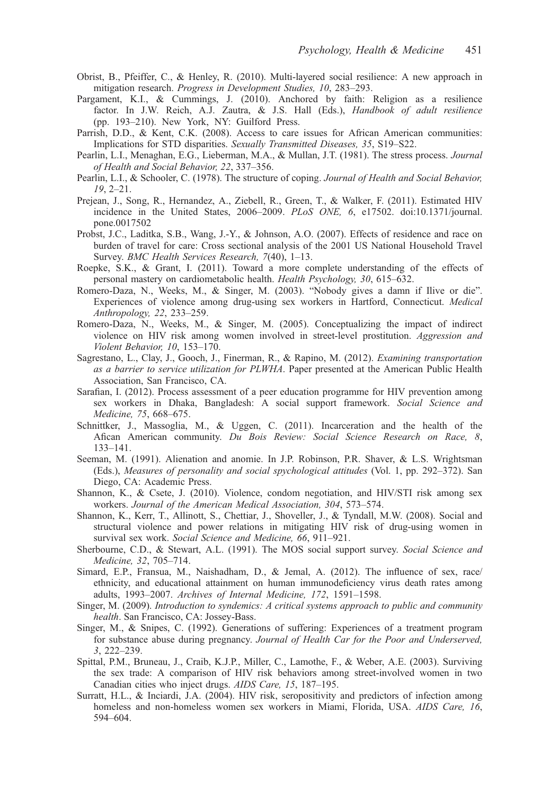- Obrist, B., Pfeiffer, C., & Henley, R. (2010). Multi-layered social resilience: A new approach in mitigation research. Progress in Development Studies, 10, 283–293.
- Pargament, K.I., & Cummings, J. (2010). Anchored by faith: Religion as a resilience factor. In J.W. Reich, A.J. Zautra, & J.S. Hall (Eds.), Handbook of adult resilience (pp. 193–210). New York, NY: Guilford Press.
- Parrish, D.D., & Kent, C.K. (2008). Access to care issues for African American communities: Implications for STD disparities. Sexually Transmitted Diseases, 35, S19–S22.
- Pearlin, L.I., Menaghan, E.G., Lieberman, M.A., & Mullan, J.T. (1981). The stress process. Journal of Health and Social Behavior, 22, 337–356.
- Pearlin, L.I., & Schooler, C. (1978). The structure of coping. Journal of Health and Social Behavior, 19, 2–21.
- Prejean, J., Song, R., Hernandez, A., Ziebell, R., Green, T., & Walker, F. (2011). Estimated HIV incidence in the United States, 2006–2009. PLoS ONE, 6, e17502. doi:10.1371/journal. pone.0017502
- Probst, J.C., Laditka, S.B., Wang, J.-Y., & Johnson, A.O. (2007). Effects of residence and race on burden of travel for care: Cross sectional analysis of the 2001 US National Household Travel Survey. BMC Health Services Research, 7(40), 1–13.
- Roepke, S.K., & Grant, I. (2011). Toward a more complete understanding of the effects of personal mastery on cardiometabolic health. Health Psychology, 30, 615–632.
- Romero-Daza, N., Weeks, M., & Singer, M. (2003). "Nobody gives a damn if Ilive or die". Experiences of violence among drug-using sex workers in Hartford, Connecticut. Medical Anthropology, 22, 233–259.
- Romero-Daza, N., Weeks, M., & Singer, M. (2005). Conceptualizing the impact of indirect violence on HIV risk among women involved in street-level prostitution. Aggression and Violent Behavior, 10, 153–170.
- Sagrestano, L., Clay, J., Gooch, J., Finerman, R., & Rapino, M. (2012). Examining transportation as a barrier to service utilization for PLWHA. Paper presented at the American Public Health Association, San Francisco, CA.
- Sarafian, I. (2012). Process assessment of a peer education programme for HIV prevention among sex workers in Dhaka, Bangladesh: A social support framework. Social Science and Medicine, 75, 668–675.
- Schnittker, J., Massoglia, M., & Uggen, C. (2011). Incarceration and the health of the Afican American community. Du Bois Review: Social Science Research on Race, 8, 133–141.
- Seeman, M. (1991). Alienation and anomie. In J.P. Robinson, P.R. Shaver, & L.S. Wrightsman (Eds.), Measures of personality and social spychological attitudes (Vol. 1, pp. 292–372). San Diego, CA: Academic Press.
- Shannon, K., & Csete, J. (2010). Violence, condom negotiation, and HIV/STI risk among sex workers. Journal of the American Medical Association, 304, 573–574.
- Shannon, K., Kerr, T., Allinott, S., Chettiar, J., Shoveller, J., & Tyndall, M.W. (2008). Social and structural violence and power relations in mitigating HIV risk of drug-using women in survival sex work. Social Science and Medicine, 66, 911–921.
- Sherbourne, C.D., & Stewart, A.L. (1991). The MOS social support survey. Social Science and Medicine, 32, 705–714.
- Simard, E.P., Fransua, M., Naishadham, D., & Jemal, A. (2012). The influence of sex, race/ ethnicity, and educational attainment on human immunodeficiency virus death rates among adults, 1993–2007. Archives of Internal Medicine, 172, 1591–1598.
- Singer, M. (2009). Introduction to syndemics: A critical systems approach to public and community health. San Francisco, CA: Jossey-Bass.
- Singer, M., & Snipes, C. (1992). Generations of suffering: Experiences of a treatment program for substance abuse during pregnancy. Journal of Health Car for the Poor and Underserved, 3, 222–239.
- Spittal, P.M., Bruneau, J., Craib, K.J.P., Miller, C., Lamothe, F., & Weber, A.E. (2003). Surviving the sex trade: A comparison of HIV risk behaviors among street-involved women in two Canadian cities who inject drugs. AIDS Care, 15, 187–195.
- Surratt, H.L., & Inciardi, J.A. (2004). HIV risk, seropositivity and predictors of infection among homeless and non-homeless women sex workers in Miami, Florida, USA. AIDS Care, 16, 594–604.